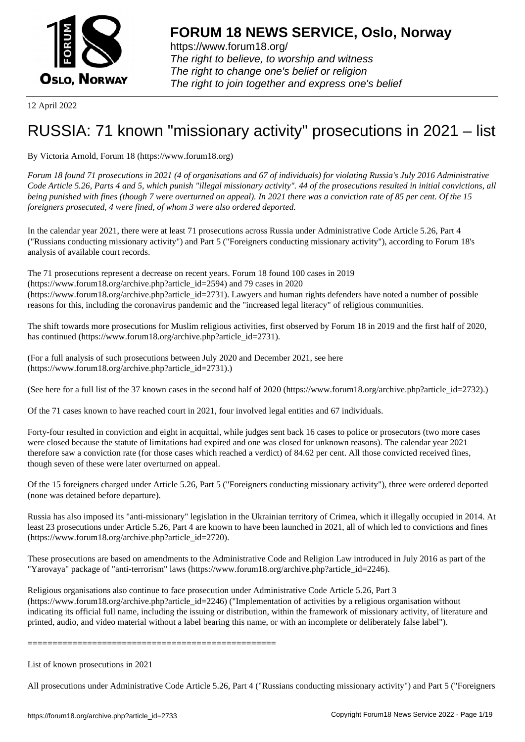

12 April 2022

## [RUSSIA: 71 kno](https://www.forum18.org)wn "missionary activity" prosecutions in 2021 – list

By Victoria Arnold, Forum 18 (https://www.forum18.org)

*Forum 18 found 71 prosecutions in 2021 (4 of organisations and 67 of individuals) for violating Russia's July 2016 Administrative Code Article 5.26, Parts 4 and 5, which punish "illegal missionary activity". 44 of the prosecutions resulted in initial convictions, all being punished with fines (though 7 were overturned on appeal). In 2021 there was a conviction rate of 85 per cent. Of the 15 foreigners prosecuted, 4 were fined, of whom 3 were also ordered deported.*

In the calendar year 2021, there were at least 71 prosecutions across Russia under Administrative Code Article 5.26, Part 4 ("Russians conducting missionary activity") and Part 5 ("Foreigners conducting missionary activity"), according to Forum 18's analysis of available court records.

The 71 prosecutions represent a decrease on recent years. Forum 18 found 100 cases in 2019 (https://www.forum18.org/archive.php?article\_id=2594) and 79 cases in 2020 (https://www.forum18.org/archive.php?article\_id=2731). Lawyers and human rights defenders have noted a number of possible reasons for this, including the coronavirus pandemic and the "increased legal literacy" of religious communities.

The shift towards more prosecutions for Muslim religious activities, first observed by Forum 18 in 2019 and the first half of 2020, has continued (https://www.forum18.org/archive.php?article\_id=2731).

(For a full analysis of such prosecutions between July 2020 and December 2021, see here (https://www.forum18.org/archive.php?article\_id=2731).)

(See here for a full list of the 37 known cases in the second half of 2020 (https://www.forum18.org/archive.php?article\_id=2732).)

Of the 71 cases known to have reached court in 2021, four involved legal entities and 67 individuals.

Forty-four resulted in conviction and eight in acquittal, while judges sent back 16 cases to police or prosecutors (two more cases were closed because the statute of limitations had expired and one was closed for unknown reasons). The calendar year 2021 therefore saw a conviction rate (for those cases which reached a verdict) of 84.62 per cent. All those convicted received fines, though seven of these were later overturned on appeal.

Of the 15 foreigners charged under Article 5.26, Part 5 ("Foreigners conducting missionary activity"), three were ordered deported (none was detained before departure).

Russia has also imposed its "anti-missionary" legislation in the Ukrainian territory of Crimea, which it illegally occupied in 2014. At least 23 prosecutions under Article 5.26, Part 4 are known to have been launched in 2021, all of which led to convictions and fines (https://www.forum18.org/archive.php?article\_id=2720).

These prosecutions are based on amendments to the Administrative Code and Religion Law introduced in July 2016 as part of the "Yarovaya" package of "anti-terrorism" laws (https://www.forum18.org/archive.php?article\_id=2246).

Religious organisations also continue to face prosecution under Administrative Code Article 5.26, Part 3 (https://www.forum18.org/archive.php?article\_id=2246) ("Implementation of activities by a religious organisation without indicating its official full name, including the issuing or distribution, within the framework of missionary activity, of literature and printed, audio, and video material without a label bearing this name, or with an incomplete or deliberately false label").

==================================================

List of known prosecutions in 2021

All prosecutions under Administrative Code Article 5.26, Part 4 ("Russians conducting missionary activity") and Part 5 ("Foreigners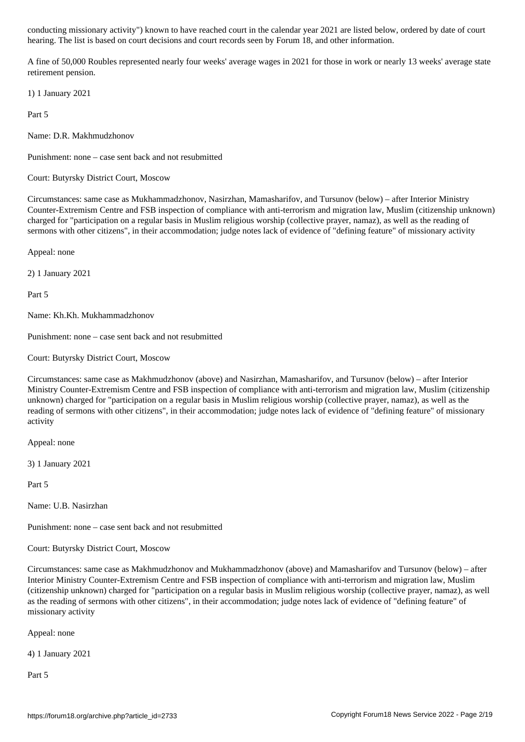hearing. The list is based on court decisions and court records seen by Forum 18, and other information.

A fine of 50,000 Roubles represented nearly four weeks' average wages in 2021 for those in work or nearly 13 weeks' average state retirement pension.

1) 1 January 2021

Part 5

Name: D.R. Makhmudzhonov

Punishment: none – case sent back and not resubmitted

Court: Butyrsky District Court, Moscow

Circumstances: same case as Mukhammadzhonov, Nasirzhan, Mamasharifov, and Tursunov (below) – after Interior Ministry Counter-Extremism Centre and FSB inspection of compliance with anti-terrorism and migration law, Muslim (citizenship unknown) charged for "participation on a regular basis in Muslim religious worship (collective prayer, namaz), as well as the reading of sermons with other citizens", in their accommodation; judge notes lack of evidence of "defining feature" of missionary activity

Appeal: none

2) 1 January 2021

Part 5

Name: Kh.Kh. Mukhammadzhonov

Punishment: none – case sent back and not resubmitted

Court: Butyrsky District Court, Moscow

Circumstances: same case as Makhmudzhonov (above) and Nasirzhan, Mamasharifov, and Tursunov (below) – after Interior Ministry Counter-Extremism Centre and FSB inspection of compliance with anti-terrorism and migration law, Muslim (citizenship unknown) charged for "participation on a regular basis in Muslim religious worship (collective prayer, namaz), as well as the reading of sermons with other citizens", in their accommodation; judge notes lack of evidence of "defining feature" of missionary activity

Appeal: none

3) 1 January 2021

Part 5

Name: U.B. Nasirzhan

Punishment: none – case sent back and not resubmitted

Court: Butyrsky District Court, Moscow

Circumstances: same case as Makhmudzhonov and Mukhammadzhonov (above) and Mamasharifov and Tursunov (below) – after Interior Ministry Counter-Extremism Centre and FSB inspection of compliance with anti-terrorism and migration law, Muslim (citizenship unknown) charged for "participation on a regular basis in Muslim religious worship (collective prayer, namaz), as well as the reading of sermons with other citizens", in their accommodation; judge notes lack of evidence of "defining feature" of missionary activity

Appeal: none

4) 1 January 2021

Part 5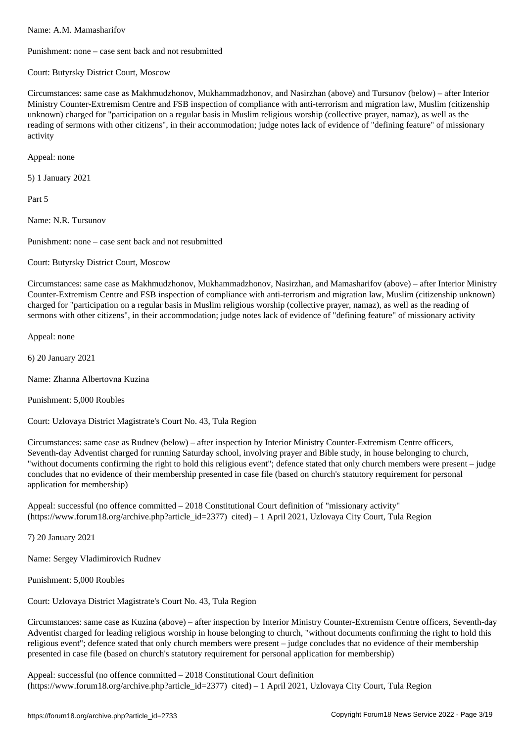Punishment: none – case sent back and not resubmitted

Court: Butyrsky District Court, Moscow

Circumstances: same case as Makhmudzhonov, Mukhammadzhonov, and Nasirzhan (above) and Tursunov (below) – after Interior Ministry Counter-Extremism Centre and FSB inspection of compliance with anti-terrorism and migration law, Muslim (citizenship unknown) charged for "participation on a regular basis in Muslim religious worship (collective prayer, namaz), as well as the reading of sermons with other citizens", in their accommodation; judge notes lack of evidence of "defining feature" of missionary activity

Appeal: none

5) 1 January 2021

Part 5

Name: N.R. Tursunov

Punishment: none – case sent back and not resubmitted

Court: Butyrsky District Court, Moscow

Circumstances: same case as Makhmudzhonov, Mukhammadzhonov, Nasirzhan, and Mamasharifov (above) – after Interior Ministry Counter-Extremism Centre and FSB inspection of compliance with anti-terrorism and migration law, Muslim (citizenship unknown) charged for "participation on a regular basis in Muslim religious worship (collective prayer, namaz), as well as the reading of sermons with other citizens", in their accommodation; judge notes lack of evidence of "defining feature" of missionary activity

Appeal: none

6) 20 January 2021

Name: Zhanna Albertovna Kuzina

Punishment: 5,000 Roubles

Court: Uzlovaya District Magistrate's Court No. 43, Tula Region

Circumstances: same case as Rudnev (below) – after inspection by Interior Ministry Counter-Extremism Centre officers, Seventh-day Adventist charged for running Saturday school, involving prayer and Bible study, in house belonging to church, "without documents confirming the right to hold this religious event"; defence stated that only church members were present – judge concludes that no evidence of their membership presented in case file (based on church's statutory requirement for personal application for membership)

Appeal: successful (no offence committed – 2018 Constitutional Court definition of "missionary activity" (https://www.forum18.org/archive.php?article\_id=2377) cited) – 1 April 2021, Uzlovaya City Court, Tula Region

7) 20 January 2021

Name: Sergey Vladimirovich Rudnev

Punishment: 5,000 Roubles

Court: Uzlovaya District Magistrate's Court No. 43, Tula Region

Circumstances: same case as Kuzina (above) – after inspection by Interior Ministry Counter-Extremism Centre officers, Seventh-day Adventist charged for leading religious worship in house belonging to church, "without documents confirming the right to hold this religious event"; defence stated that only church members were present – judge concludes that no evidence of their membership presented in case file (based on church's statutory requirement for personal application for membership)

Appeal: successful (no offence committed – 2018 Constitutional Court definition (https://www.forum18.org/archive.php?article\_id=2377) cited) – 1 April 2021, Uzlovaya City Court, Tula Region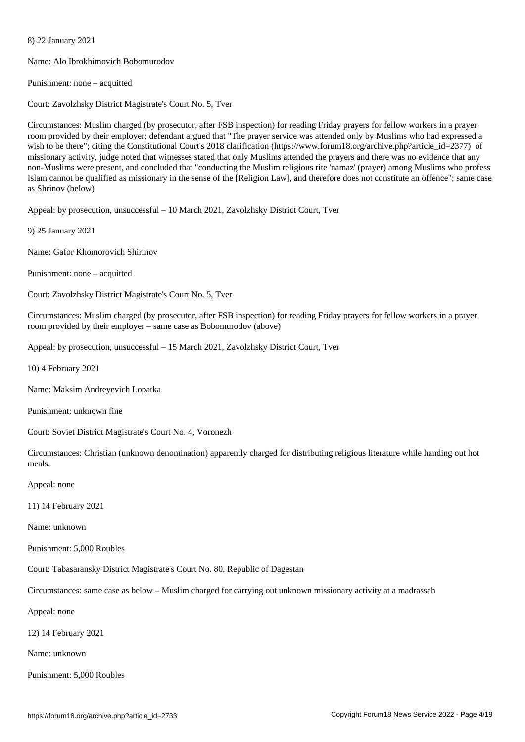Name: Alo Ibrokhimovich Bobomurodov

Punishment: none – acquitted

8) 22 January 2021

Court: Zavolzhsky District Magistrate's Court No. 5, Tver

Circumstances: Muslim charged (by prosecutor, after FSB inspection) for reading Friday prayers for fellow workers in a prayer room provided by their employer; defendant argued that "The prayer service was attended only by Muslims who had expressed a wish to be there"; citing the Constitutional Court's 2018 clarification (https://www.forum18.org/archive.php?article\_id=2377) of missionary activity, judge noted that witnesses stated that only Muslims attended the prayers and there was no evidence that any non-Muslims were present, and concluded that "conducting the Muslim religious rite 'namaz' (prayer) among Muslims who profess Islam cannot be qualified as missionary in the sense of the [Religion Law], and therefore does not constitute an offence"; same case as Shrinov (below)

Appeal: by prosecution, unsuccessful – 10 March 2021, Zavolzhsky District Court, Tver

9) 25 January 2021

Name: Gafor Khomorovich Shirinov

Punishment: none – acquitted

Court: Zavolzhsky District Magistrate's Court No. 5, Tver

Circumstances: Muslim charged (by prosecutor, after FSB inspection) for reading Friday prayers for fellow workers in a prayer room provided by their employer – same case as Bobomurodov (above)

Appeal: by prosecution, unsuccessful – 15 March 2021, Zavolzhsky District Court, Tver

10) 4 February 2021

Name: Maksim Andreyevich Lopatka

Punishment: unknown fine

Court: Soviet District Magistrate's Court No. 4, Voronezh

Circumstances: Christian (unknown denomination) apparently charged for distributing religious literature while handing out hot meals.

Appeal: none

11) 14 February 2021

Name: unknown

Punishment: 5,000 Roubles

Court: Tabasaransky District Magistrate's Court No. 80, Republic of Dagestan

Circumstances: same case as below – Muslim charged for carrying out unknown missionary activity at a madrassah

Appeal: none

12) 14 February 2021

Name: unknown

Punishment: 5,000 Roubles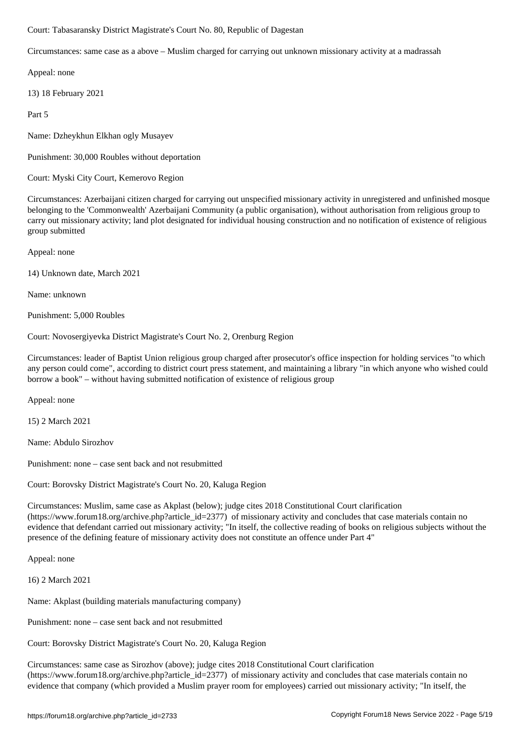Circumstances: same case as a above – Muslim charged for carrying out unknown missionary activity at a madrassah

Appeal: none

13) 18 February 2021

Part 5

Name: Dzheykhun Elkhan ogly Musayev

Punishment: 30,000 Roubles without deportation

Court: Myski City Court, Kemerovo Region

Circumstances: Azerbaijani citizen charged for carrying out unspecified missionary activity in unregistered and unfinished mosque belonging to the 'Commonwealth' Azerbaijani Community (a public organisation), without authorisation from religious group to carry out missionary activity; land plot designated for individual housing construction and no notification of existence of religious group submitted

Appeal: none

14) Unknown date, March 2021

Name: unknown

Punishment: 5,000 Roubles

Court: Novosergiyevka District Magistrate's Court No. 2, Orenburg Region

Circumstances: leader of Baptist Union religious group charged after prosecutor's office inspection for holding services "to which any person could come", according to district court press statement, and maintaining a library "in which anyone who wished could borrow a book" – without having submitted notification of existence of religious group

Appeal: none

15) 2 March 2021

Name: Abdulo Sirozhov

Punishment: none – case sent back and not resubmitted

Court: Borovsky District Magistrate's Court No. 20, Kaluga Region

Circumstances: Muslim, same case as Akplast (below); judge cites 2018 Constitutional Court clarification (https://www.forum18.org/archive.php?article\_id=2377) of missionary activity and concludes that case materials contain no evidence that defendant carried out missionary activity; "In itself, the collective reading of books on religious subjects without the presence of the defining feature of missionary activity does not constitute an offence under Part 4"

Appeal: none

16) 2 March 2021

Name: Akplast (building materials manufacturing company)

Punishment: none – case sent back and not resubmitted

Court: Borovsky District Magistrate's Court No. 20, Kaluga Region

Circumstances: same case as Sirozhov (above); judge cites 2018 Constitutional Court clarification (https://www.forum18.org/archive.php?article\_id=2377) of missionary activity and concludes that case materials contain no evidence that company (which provided a Muslim prayer room for employees) carried out missionary activity; "In itself, the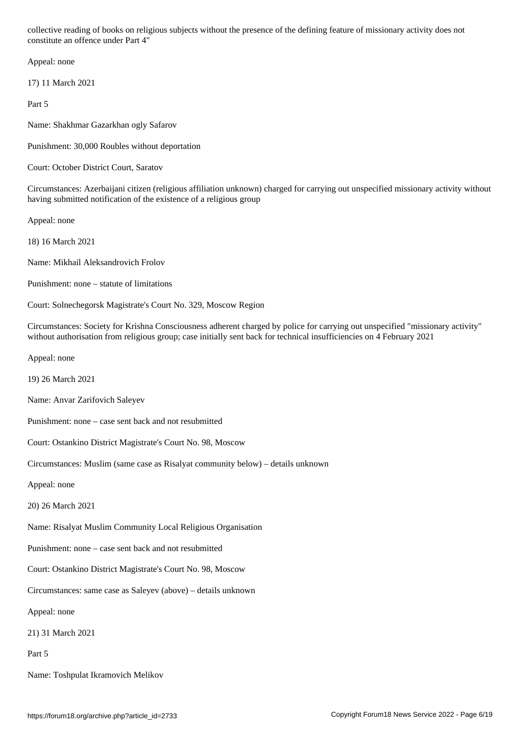Appeal: none

17) 11 March 2021

Part 5

Name: Shakhmar Gazarkhan ogly Safarov

Punishment: 30,000 Roubles without deportation

Court: October District Court, Saratov

Circumstances: Azerbaijani citizen (religious affiliation unknown) charged for carrying out unspecified missionary activity without having submitted notification of the existence of a religious group

Appeal: none

18) 16 March 2021

Name: Mikhail Aleksandrovich Frolov

Punishment: none – statute of limitations

Court: Solnechegorsk Magistrate's Court No. 329, Moscow Region

Circumstances: Society for Krishna Consciousness adherent charged by police for carrying out unspecified "missionary activity" without authorisation from religious group; case initially sent back for technical insufficiencies on 4 February 2021

Appeal: none

19) 26 March 2021

Name: Anvar Zarifovich Saleyev

Punishment: none – case sent back and not resubmitted

Court: Ostankino District Magistrate's Court No. 98, Moscow

Circumstances: Muslim (same case as Risalyat community below) – details unknown

Appeal: none

20) 26 March 2021

Name: Risalyat Muslim Community Local Religious Organisation

Punishment: none – case sent back and not resubmitted

Court: Ostankino District Magistrate's Court No. 98, Moscow

Circumstances: same case as Saleyev (above) – details unknown

Appeal: none

21) 31 March 2021

Part 5

Name: Toshpulat Ikramovich Melikov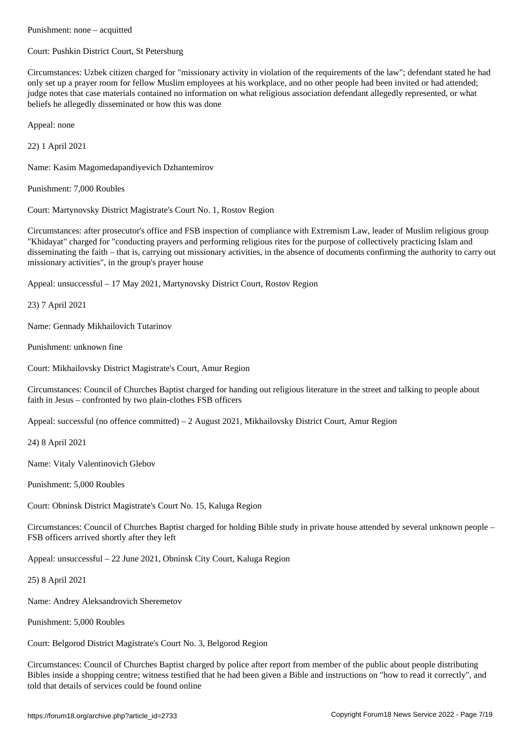Court: Pushkin District Court, St Petersburg

Circumstances: Uzbek citizen charged for "missionary activity in violation of the requirements of the law"; defendant stated he had only set up a prayer room for fellow Muslim employees at his workplace, and no other people had been invited or had attended; judge notes that case materials contained no information on what religious association defendant allegedly represented, or what beliefs he allegedly disseminated or how this was done

Appeal: none

22) 1 April 2021

Name: Kasim Magomedapandiyevich Dzhantemirov

Punishment: 7,000 Roubles

Court: Martynovsky District Magistrate's Court No. 1, Rostov Region

Circumstances: after prosecutor's office and FSB inspection of compliance with Extremism Law, leader of Muslim religious group "Khidayat" charged for "conducting prayers and performing religious rites for the purpose of collectively practicing Islam and disseminating the faith – that is, carrying out missionary activities, in the absence of documents confirming the authority to carry out missionary activities", in the group's prayer house

Appeal: unsuccessful – 17 May 2021, Martynovsky District Court, Rostov Region

23) 7 April 2021

Name: Gennady Mikhailovich Tutarinov

Punishment: unknown fine

Court: Mikhailovsky District Magistrate's Court, Amur Region

Circumstances: Council of Churches Baptist charged for handing out religious literature in the street and talking to people about faith in Jesus – confronted by two plain-clothes FSB officers

Appeal: successful (no offence committed) – 2 August 2021, Mikhailovsky District Court, Amur Region

24) 8 April 2021

Name: Vitaly Valentinovich Glebov

Punishment: 5,000 Roubles

Court: Obninsk District Magistrate's Court No. 15, Kaluga Region

Circumstances: Council of Churches Baptist charged for holding Bible study in private house attended by several unknown people – FSB officers arrived shortly after they left

Appeal: unsuccessful – 22 June 2021, Obninsk City Court, Kaluga Region

25) 8 April 2021

Name: Andrey Aleksandrovich Sheremetov

Punishment: 5,000 Roubles

Court: Belgorod District Magistrate's Court No. 3, Belgorod Region

Circumstances: Council of Churches Baptist charged by police after report from member of the public about people distributing Bibles inside a shopping centre; witness testified that he had been given a Bible and instructions on "how to read it correctly", and told that details of services could be found online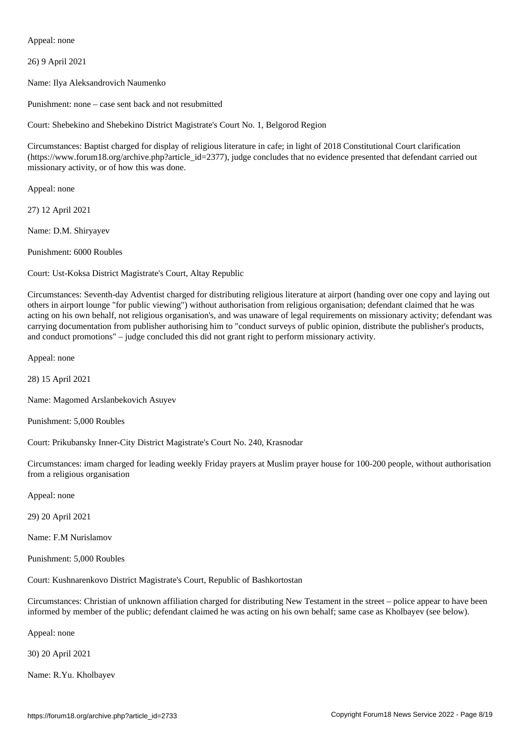Appeal: none

26) 9 April 2021

Name: Ilya Aleksandrovich Naumenko

Punishment: none – case sent back and not resubmitted

Court: Shebekino and Shebekino District Magistrate's Court No. 1, Belgorod Region

Circumstances: Baptist charged for display of religious literature in cafe; in light of 2018 Constitutional Court clarification (https://www.forum18.org/archive.php?article\_id=2377), judge concludes that no evidence presented that defendant carried out missionary activity, or of how this was done.

Appeal: none

27) 12 April 2021

Name: D.M. Shiryayev

Punishment: 6000 Roubles

Court: Ust-Koksa District Magistrate's Court, Altay Republic

Circumstances: Seventh-day Adventist charged for distributing religious literature at airport (handing over one copy and laying out others in airport lounge "for public viewing") without authorisation from religious organisation; defendant claimed that he was acting on his own behalf, not religious organisation's, and was unaware of legal requirements on missionary activity; defendant was carrying documentation from publisher authorising him to "conduct surveys of public opinion, distribute the publisher's products, and conduct promotions" – judge concluded this did not grant right to perform missionary activity.

Appeal: none

28) 15 April 2021

Name: Magomed Arslanbekovich Asuyev

Punishment: 5,000 Roubles

Court: Prikubansky Inner-City District Magistrate's Court No. 240, Krasnodar

Circumstances: imam charged for leading weekly Friday prayers at Muslim prayer house for 100-200 people, without authorisation from a religious organisation

Appeal: none

29) 20 April 2021

Name: F.M Nurislamov

Punishment: 5,000 Roubles

Court: Kushnarenkovo District Magistrate's Court, Republic of Bashkortostan

Circumstances: Christian of unknown affiliation charged for distributing New Testament in the street – police appear to have been informed by member of the public; defendant claimed he was acting on his own behalf; same case as Kholbayev (see below).

Appeal: none

30) 20 April 2021

Name: R.Yu. Kholbayev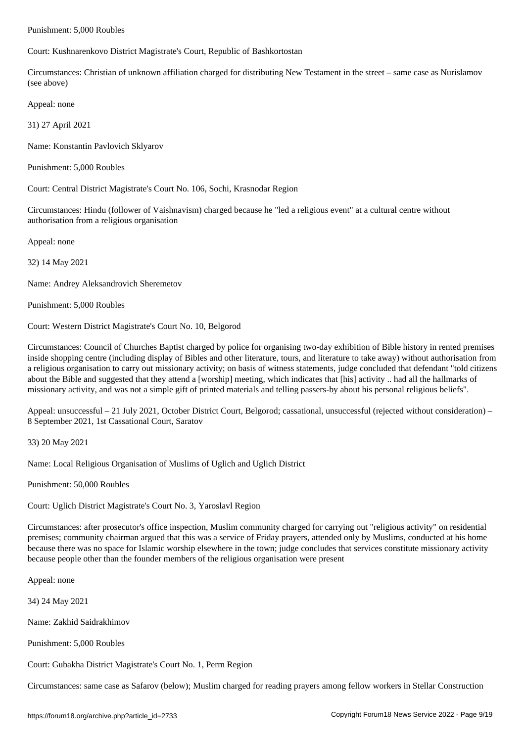Court: Kushnarenkovo District Magistrate's Court, Republic of Bashkortostan

Circumstances: Christian of unknown affiliation charged for distributing New Testament in the street – same case as Nurislamov (see above)

Appeal: none

31) 27 April 2021

Name: Konstantin Pavlovich Sklyarov

Punishment: 5,000 Roubles

Court: Central District Magistrate's Court No. 106, Sochi, Krasnodar Region

Circumstances: Hindu (follower of Vaishnavism) charged because he "led a religious event" at a cultural centre without authorisation from a religious organisation

Appeal: none

32) 14 May 2021

Name: Andrey Aleksandrovich Sheremetov

Punishment: 5,000 Roubles

Court: Western District Magistrate's Court No. 10, Belgorod

Circumstances: Council of Churches Baptist charged by police for organising two-day exhibition of Bible history in rented premises inside shopping centre (including display of Bibles and other literature, tours, and literature to take away) without authorisation from a religious organisation to carry out missionary activity; on basis of witness statements, judge concluded that defendant "told citizens about the Bible and suggested that they attend a [worship] meeting, which indicates that [his] activity .. had all the hallmarks of missionary activity, and was not a simple gift of printed materials and telling passers-by about his personal religious beliefs".

Appeal: unsuccessful – 21 July 2021, October District Court, Belgorod; cassational, unsuccessful (rejected without consideration) – 8 September 2021, 1st Cassational Court, Saratov

33) 20 May 2021

Name: Local Religious Organisation of Muslims of Uglich and Uglich District

Punishment: 50,000 Roubles

Court: Uglich District Magistrate's Court No. 3, Yaroslavl Region

Circumstances: after prosecutor's office inspection, Muslim community charged for carrying out "religious activity" on residential premises; community chairman argued that this was a service of Friday prayers, attended only by Muslims, conducted at his home because there was no space for Islamic worship elsewhere in the town; judge concludes that services constitute missionary activity because people other than the founder members of the religious organisation were present

Appeal: none

34) 24 May 2021

Name: Zakhid Saidrakhimov

Punishment: 5,000 Roubles

Court: Gubakha District Magistrate's Court No. 1, Perm Region

Circumstances: same case as Safarov (below); Muslim charged for reading prayers among fellow workers in Stellar Construction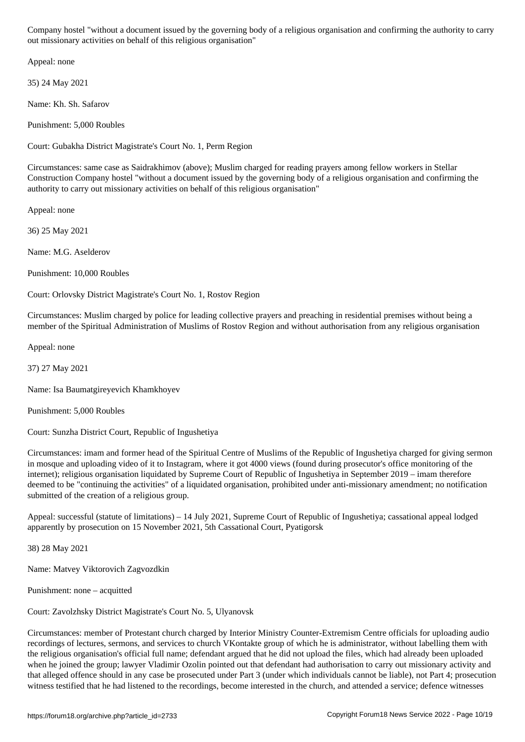out missionary activities on behalf of this religious organisation"

Appeal: none

35) 24 May 2021

Name: Kh. Sh. Safarov

Punishment: 5,000 Roubles

Court: Gubakha District Magistrate's Court No. 1, Perm Region

Circumstances: same case as Saidrakhimov (above); Muslim charged for reading prayers among fellow workers in Stellar Construction Company hostel "without a document issued by the governing body of a religious organisation and confirming the authority to carry out missionary activities on behalf of this religious organisation"

Appeal: none

36) 25 May 2021

Name: M.G. Aselderov

Punishment: 10,000 Roubles

Court: Orlovsky District Magistrate's Court No. 1, Rostov Region

Circumstances: Muslim charged by police for leading collective prayers and preaching in residential premises without being a member of the Spiritual Administration of Muslims of Rostov Region and without authorisation from any religious organisation

Appeal: none

37) 27 May 2021

Name: Isa Baumatgireyevich Khamkhoyev

Punishment: 5,000 Roubles

Court: Sunzha District Court, Republic of Ingushetiya

Circumstances: imam and former head of the Spiritual Centre of Muslims of the Republic of Ingushetiya charged for giving sermon in mosque and uploading video of it to Instagram, where it got 4000 views (found during prosecutor's office monitoring of the internet); religious organisation liquidated by Supreme Court of Republic of Ingushetiya in September 2019 – imam therefore deemed to be "continuing the activities" of a liquidated organisation, prohibited under anti-missionary amendment; no notification submitted of the creation of a religious group.

Appeal: successful (statute of limitations) – 14 July 2021, Supreme Court of Republic of Ingushetiya; cassational appeal lodged apparently by prosecution on 15 November 2021, 5th Cassational Court, Pyatigorsk

38) 28 May 2021

Name: Matvey Viktorovich Zagvozdkin

Punishment: none – acquitted

Court: Zavolzhsky District Magistrate's Court No. 5, Ulyanovsk

Circumstances: member of Protestant church charged by Interior Ministry Counter-Extremism Centre officials for uploading audio recordings of lectures, sermons, and services to church VKontakte group of which he is administrator, without labelling them with the religious organisation's official full name; defendant argued that he did not upload the files, which had already been uploaded when he joined the group; lawyer Vladimir Ozolin pointed out that defendant had authorisation to carry out missionary activity and that alleged offence should in any case be prosecuted under Part 3 (under which individuals cannot be liable), not Part 4; prosecution witness testified that he had listened to the recordings, become interested in the church, and attended a service; defence witnesses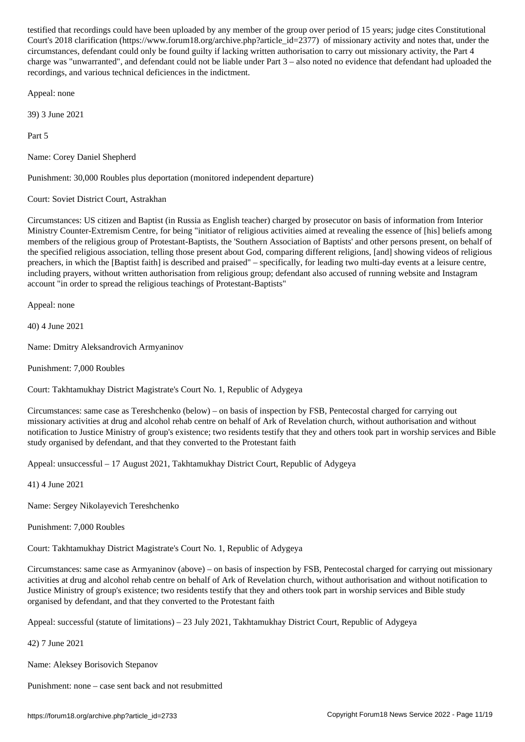$\Box$ wa.forum18.org/archive.php?article\_id=23777) of missionary activity and notes that, under the notes that, under the missionary activity activity and notes that, under the missionary activity and notes that, under the circumstances, defendant could only be found guilty if lacking written authorisation to carry out missionary activity, the Part 4 charge was "unwarranted", and defendant could not be liable under Part 3 – also noted no evidence that defendant had uploaded the recordings, and various technical deficiences in the indictment.

Appeal: none

39) 3 June 2021

Part 5

Name: Corey Daniel Shepherd

Punishment: 30,000 Roubles plus deportation (monitored independent departure)

Court: Soviet District Court, Astrakhan

Circumstances: US citizen and Baptist (in Russia as English teacher) charged by prosecutor on basis of information from Interior Ministry Counter-Extremism Centre, for being "initiator of religious activities aimed at revealing the essence of [his] beliefs among members of the religious group of Protestant-Baptists, the 'Southern Association of Baptists' and other persons present, on behalf of the specified religious association, telling those present about God, comparing different religions, [and] showing videos of religious preachers, in which the [Baptist faith] is described and praised" – specifically, for leading two multi-day events at a leisure centre, including prayers, without written authorisation from religious group; defendant also accused of running website and Instagram account "in order to spread the religious teachings of Protestant-Baptists"

Appeal: none

40) 4 June 2021

Name: Dmitry Aleksandrovich Armyaninov

Punishment: 7,000 Roubles

Court: Takhtamukhay District Magistrate's Court No. 1, Republic of Adygeya

Circumstances: same case as Tereshchenko (below) – on basis of inspection by FSB, Pentecostal charged for carrying out missionary activities at drug and alcohol rehab centre on behalf of Ark of Revelation church, without authorisation and without notification to Justice Ministry of group's existence; two residents testify that they and others took part in worship services and Bible study organised by defendant, and that they converted to the Protestant faith

Appeal: unsuccessful – 17 August 2021, Takhtamukhay District Court, Republic of Adygeya

41) 4 June 2021

Name: Sergey Nikolayevich Tereshchenko

Punishment: 7,000 Roubles

Court: Takhtamukhay District Magistrate's Court No. 1, Republic of Adygeya

Circumstances: same case as Armyaninov (above) – on basis of inspection by FSB, Pentecostal charged for carrying out missionary activities at drug and alcohol rehab centre on behalf of Ark of Revelation church, without authorisation and without notification to Justice Ministry of group's existence; two residents testify that they and others took part in worship services and Bible study organised by defendant, and that they converted to the Protestant faith

Appeal: successful (statute of limitations) – 23 July 2021, Takhtamukhay District Court, Republic of Adygeya

42) 7 June 2021

Name: Aleksey Borisovich Stepanov

Punishment: none – case sent back and not resubmitted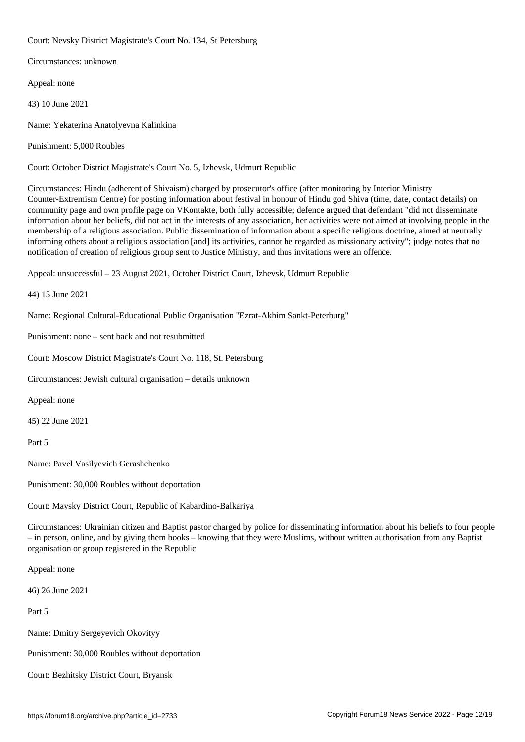Court: Nevsky District Magistrate's Court No. 134, St Petersburg

Circumstances: unknown

Appeal: none

43) 10 June 2021

Name: Yekaterina Anatolyevna Kalinkina

Punishment: 5,000 Roubles

Court: October District Magistrate's Court No. 5, Izhevsk, Udmurt Republic

Circumstances: Hindu (adherent of Shivaism) charged by prosecutor's office (after monitoring by Interior Ministry Counter-Extremism Centre) for posting information about festival in honour of Hindu god Shiva (time, date, contact details) on community page and own profile page on VKontakte, both fully accessible; defence argued that defendant "did not disseminate information about her beliefs, did not act in the interests of any association, her activities were not aimed at involving people in the membership of a religious association. Public dissemination of information about a specific religious doctrine, aimed at neutrally informing others about a religious association [and] its activities, cannot be regarded as missionary activity"; judge notes that no notification of creation of religious group sent to Justice Ministry, and thus invitations were an offence.

Appeal: unsuccessful – 23 August 2021, October District Court, Izhevsk, Udmurt Republic

44) 15 June 2021

Name: Regional Cultural-Educational Public Organisation "Ezrat-Akhim Sankt-Peterburg"

Punishment: none – sent back and not resubmitted

Court: Moscow District Magistrate's Court No. 118, St. Petersburg

Circumstances: Jewish cultural organisation – details unknown

Appeal: none

45) 22 June 2021

Part 5

Name: Pavel Vasilyevich Gerashchenko

Punishment: 30,000 Roubles without deportation

Court: Maysky District Court, Republic of Kabardino-Balkariya

Circumstances: Ukrainian citizen and Baptist pastor charged by police for disseminating information about his beliefs to four people – in person, online, and by giving them books – knowing that they were Muslims, without written authorisation from any Baptist organisation or group registered in the Republic

Appeal: none

46) 26 June 2021

Part 5

Name: Dmitry Sergeyevich Okovityy

Punishment: 30,000 Roubles without deportation

Court: Bezhitsky District Court, Bryansk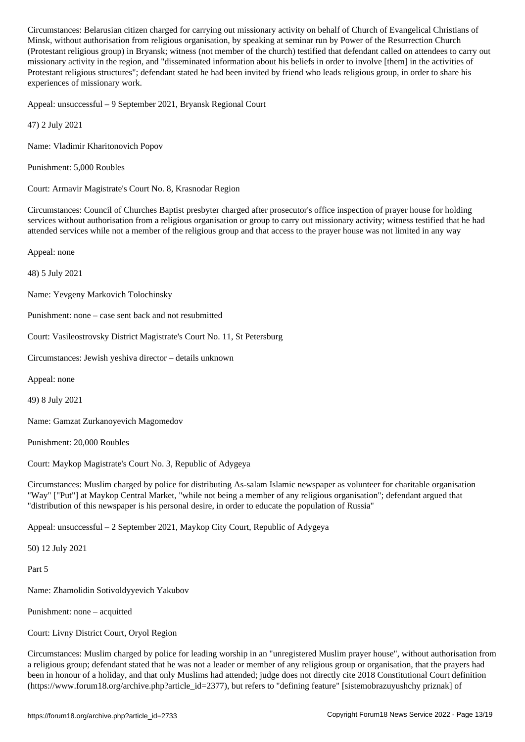, with a view religious organisation from religious organisation, by Power of the Resurrection  $P$ (Protestant religious group) in Bryansk; witness (not member of the church) testified that defendant called on attendees to carry out missionary activity in the region, and "disseminated information about his beliefs in order to involve [them] in the activities of Protestant religious structures"; defendant stated he had been invited by friend who leads religious group, in order to share his experiences of missionary work.

Appeal: unsuccessful – 9 September 2021, Bryansk Regional Court

47) 2 July 2021

Name: Vladimir Kharitonovich Popov

Punishment: 5,000 Roubles

Court: Armavir Magistrate's Court No. 8, Krasnodar Region

Circumstances: Council of Churches Baptist presbyter charged after prosecutor's office inspection of prayer house for holding services without authorisation from a religious organisation or group to carry out missionary activity; witness testified that he had attended services while not a member of the religious group and that access to the prayer house was not limited in any way

Appeal: none

48) 5 July 2021

Name: Yevgeny Markovich Tolochinsky

Punishment: none – case sent back and not resubmitted

Court: Vasileostrovsky District Magistrate's Court No. 11, St Petersburg

Circumstances: Jewish yeshiva director – details unknown

Appeal: none

49) 8 July 2021

Name: Gamzat Zurkanoyevich Magomedov

Punishment: 20,000 Roubles

Court: Maykop Magistrate's Court No. 3, Republic of Adygeya

Circumstances: Muslim charged by police for distributing As-salam Islamic newspaper as volunteer for charitable organisation "Way" ["Put"] at Maykop Central Market, "while not being a member of any religious organisation"; defendant argued that "distribution of this newspaper is his personal desire, in order to educate the population of Russia"

Appeal: unsuccessful – 2 September 2021, Maykop City Court, Republic of Adygeya

50) 12 July 2021

Part 5

Name: Zhamolidin Sotivoldyyevich Yakubov

Punishment: none – acquitted

Court: Livny District Court, Oryol Region

Circumstances: Muslim charged by police for leading worship in an "unregistered Muslim prayer house", without authorisation from a religious group; defendant stated that he was not a leader or member of any religious group or organisation, that the prayers had been in honour of a holiday, and that only Muslims had attended; judge does not directly cite 2018 Constitutional Court definition (https://www.forum18.org/archive.php?article\_id=2377), but refers to "defining feature" [sistemobrazuyushchy priznak] of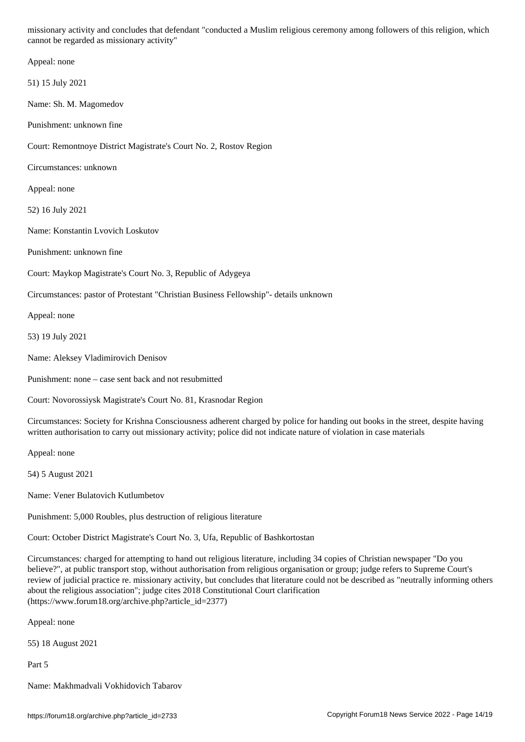cannot be regarded as missionary activity" Appeal: none 51) 15 July 2021 Name: Sh. M. Magomedov Punishment: unknown fine Court: Remontnoye District Magistrate's Court No. 2, Rostov Region Circumstances: unknown Appeal: none 52) 16 July 2021 Name: Konstantin Lvovich Loskutov Punishment: unknown fine Court: Maykop Magistrate's Court No. 3, Republic of Adygeya Circumstances: pastor of Protestant "Christian Business Fellowship"- details unknown Appeal: none 53) 19 July 2021 Name: Aleksey Vladimirovich Denisov Punishment: none – case sent back and not resubmitted Court: Novorossiysk Magistrate's Court No. 81, Krasnodar Region Circumstances: Society for Krishna Consciousness adherent charged by police for handing out books in the street, despite having written authorisation to carry out missionary activity; police did not indicate nature of violation in case materials Appeal: none 54) 5 August 2021

Name: Vener Bulatovich Kutlumbetov

Punishment: 5,000 Roubles, plus destruction of religious literature

Court: October District Magistrate's Court No. 3, Ufa, Republic of Bashkortostan

Circumstances: charged for attempting to hand out religious literature, including 34 copies of Christian newspaper "Do you believe?", at public transport stop, without authorisation from religious organisation or group; judge refers to Supreme Court's review of judicial practice re. missionary activity, but concludes that literature could not be described as "neutrally informing others about the religious association"; judge cites 2018 Constitutional Court clarification (https://www.forum18.org/archive.php?article\_id=2377)

Appeal: none

55) 18 August 2021

Part 5

Name: Makhmadvali Vokhidovich Tabarov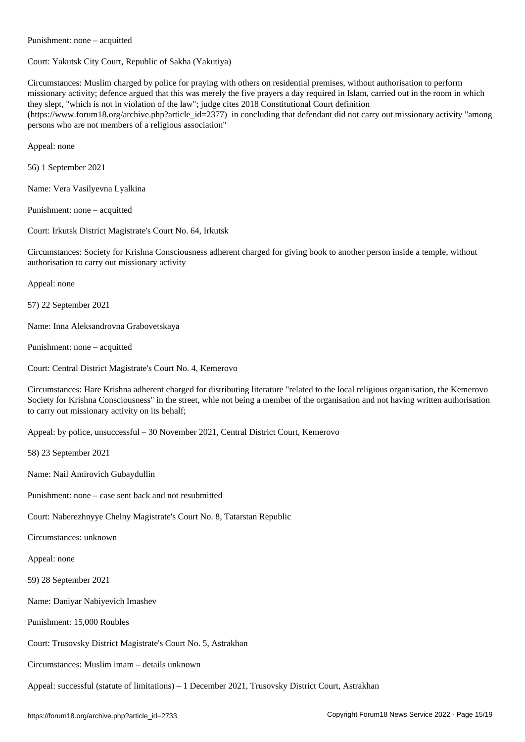Court: Yakutsk City Court, Republic of Sakha (Yakutiya)

Circumstances: Muslim charged by police for praying with others on residential premises, without authorisation to perform missionary activity; defence argued that this was merely the five prayers a day required in Islam, carried out in the room in which they slept, "which is not in violation of the law"; judge cites 2018 Constitutional Court definition (https://www.forum18.org/archive.php?article\_id=2377) in concluding that defendant did not carry out missionary activity "among persons who are not members of a religious association"

Appeal: none

56) 1 September 2021

Name: Vera Vasilyevna Lyalkina

Punishment: none – acquitted

Punishment: none – acquitted

Court: Irkutsk District Magistrate's Court No. 64, Irkutsk

Circumstances: Society for Krishna Consciousness adherent charged for giving book to another person inside a temple, without authorisation to carry out missionary activity

Appeal: none

57) 22 September 2021

Name: Inna Aleksandrovna Grabovetskaya

Punishment: none – acquitted

Court: Central District Magistrate's Court No. 4, Kemerovo

Circumstances: Hare Krishna adherent charged for distributing literature "related to the local religious organisation, the Kemerovo Society for Krishna Consciousness" in the street, whle not being a member of the organisation and not having written authorisation to carry out missionary activity on its behalf;

Appeal: by police, unsuccessful – 30 November 2021, Central District Court, Kemerovo

58) 23 September 2021

Name: Nail Amirovich Gubaydullin

Punishment: none – case sent back and not resubmitted

Court: Naberezhnyye Chelny Magistrate's Court No. 8, Tatarstan Republic

Circumstances: unknown

Appeal: none

59) 28 September 2021

Name: Daniyar Nabiyevich Imashev

Punishment: 15,000 Roubles

Court: Trusovsky District Magistrate's Court No. 5, Astrakhan

Circumstances: Muslim imam – details unknown

Appeal: successful (statute of limitations) – 1 December 2021, Trusovsky District Court, Astrakhan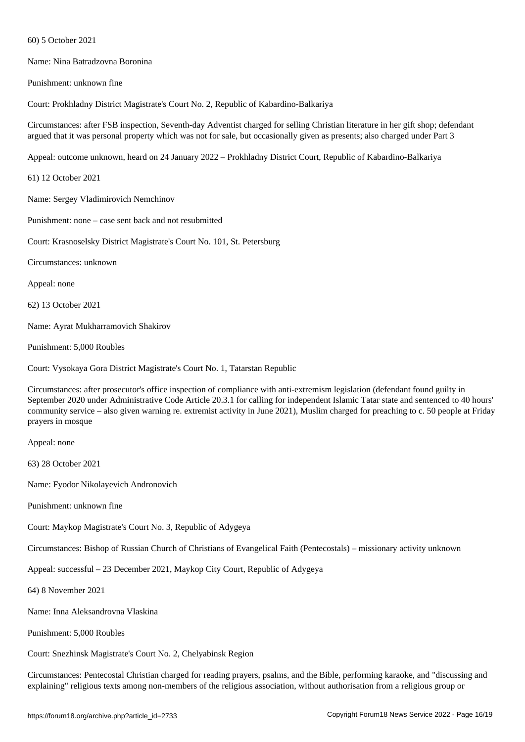Name: Nina Batradzovna Boronina

Punishment: unknown fine

 $\mathcal{F}$ 

Court: Prokhladny District Magistrate's Court No. 2, Republic of Kabardino-Balkariya

Circumstances: after FSB inspection, Seventh-day Adventist charged for selling Christian literature in her gift shop; defendant argued that it was personal property which was not for sale, but occasionally given as presents; also charged under Part 3

Appeal: outcome unknown, heard on 24 January 2022 – Prokhladny District Court, Republic of Kabardino-Balkariya

61) 12 October 2021

Name: Sergey Vladimirovich Nemchinov

Punishment: none – case sent back and not resubmitted

Court: Krasnoselsky District Magistrate's Court No. 101, St. Petersburg

Circumstances: unknown

Appeal: none

62) 13 October 2021

Name: Ayrat Mukharramovich Shakirov

Punishment: 5,000 Roubles

Court: Vysokaya Gora District Magistrate's Court No. 1, Tatarstan Republic

Circumstances: after prosecutor's office inspection of compliance with anti-extremism legislation (defendant found guilty in September 2020 under Administrative Code Article 20.3.1 for calling for independent Islamic Tatar state and sentenced to 40 hours' community service – also given warning re. extremist activity in June 2021), Muslim charged for preaching to c. 50 people at Friday prayers in mosque

Appeal: none

63) 28 October 2021

Name: Fyodor Nikolayevich Andronovich

Punishment: unknown fine

Court: Maykop Magistrate's Court No. 3, Republic of Adygeya

Circumstances: Bishop of Russian Church of Christians of Evangelical Faith (Pentecostals) – missionary activity unknown

Appeal: successful – 23 December 2021, Maykop City Court, Republic of Adygeya

64) 8 November 2021

Name: Inna Aleksandrovna Vlaskina

Punishment: 5,000 Roubles

Court: Snezhinsk Magistrate's Court No. 2, Chelyabinsk Region

Circumstances: Pentecostal Christian charged for reading prayers, psalms, and the Bible, performing karaoke, and "discussing and explaining" religious texts among non-members of the religious association, without authorisation from a religious group or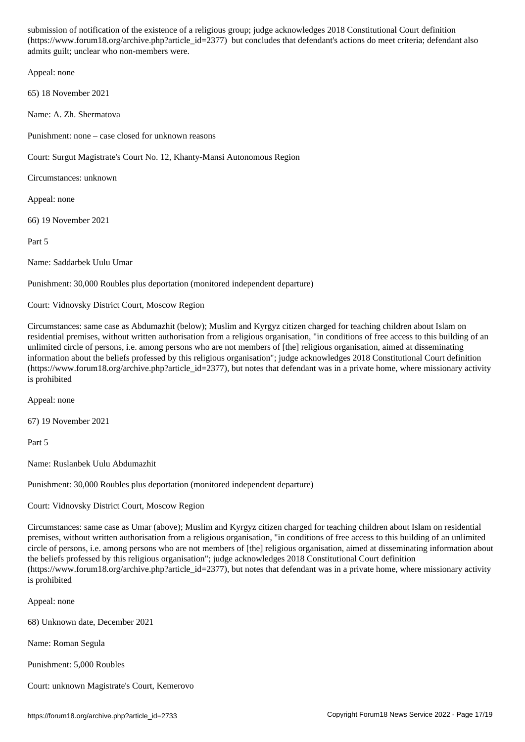$\mathcal{C}$ admits guilt; unclear who non-members were.

Appeal: none

65) 18 November 2021

Name: A. Zh. Shermatova

Punishment: none – case closed for unknown reasons

Court: Surgut Magistrate's Court No. 12, Khanty-Mansi Autonomous Region

Circumstances: unknown

Appeal: none

66) 19 November 2021

Part 5

Name: Saddarbek Uulu Umar

Punishment: 30,000 Roubles plus deportation (monitored independent departure)

Court: Vidnovsky District Court, Moscow Region

Circumstances: same case as Abdumazhit (below); Muslim and Kyrgyz citizen charged for teaching children about Islam on residential premises, without written authorisation from a religious organisation, "in conditions of free access to this building of an unlimited circle of persons, i.e. among persons who are not members of [the] religious organisation, aimed at disseminating information about the beliefs professed by this religious organisation"; judge acknowledges 2018 Constitutional Court definition (https://www.forum18.org/archive.php?article\_id=2377), but notes that defendant was in a private home, where missionary activity is prohibited

Appeal: none

67) 19 November 2021

Part 5

Name: Ruslanbek Uulu Abdumazhit

Punishment: 30,000 Roubles plus deportation (monitored independent departure)

Court: Vidnovsky District Court, Moscow Region

Circumstances: same case as Umar (above); Muslim and Kyrgyz citizen charged for teaching children about Islam on residential premises, without written authorisation from a religious organisation, "in conditions of free access to this building of an unlimited circle of persons, i.e. among persons who are not members of [the] religious organisation, aimed at disseminating information about the beliefs professed by this religious organisation"; judge acknowledges 2018 Constitutional Court definition (https://www.forum18.org/archive.php?article\_id=2377), but notes that defendant was in a private home, where missionary activity is prohibited

Appeal: none

68) Unknown date, December 2021

Name: Roman Segula

Punishment: 5,000 Roubles

Court: unknown Magistrate's Court, Kemerovo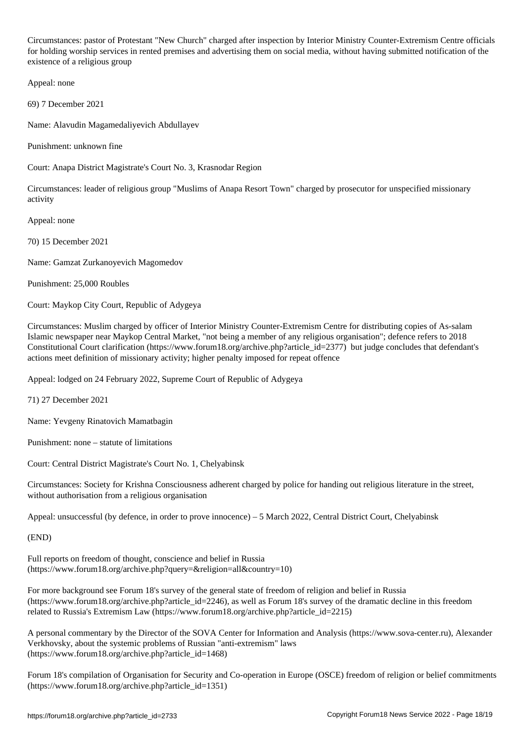Circumstances: pastor of Protestant "New Church" charged after inspection by Interior Ministry Counter-Extremism Centre officials for holding worship services in rented premises and advertising them on social media, without having submitted notification of the existence of a religious group

Appeal: none

69) 7 December 2021

Name: Alavudin Magamedaliyevich Abdullayev

Punishment: unknown fine

Court: Anapa District Magistrate's Court No. 3, Krasnodar Region

Circumstances: leader of religious group "Muslims of Anapa Resort Town" charged by prosecutor for unspecified missionary activity

Appeal: none

70) 15 December 2021

Name: Gamzat Zurkanoyevich Magomedov

Punishment: 25,000 Roubles

Court: Maykop City Court, Republic of Adygeya

Circumstances: Muslim charged by officer of Interior Ministry Counter-Extremism Centre for distributing copies of As-salam Islamic newspaper near Maykop Central Market, "not being a member of any religious organisation"; defence refers to 2018 Constitutional Court clarification (https://www.forum18.org/archive.php?article\_id=2377) but judge concludes that defendant's actions meet definition of missionary activity; higher penalty imposed for repeat offence

Appeal: lodged on 24 February 2022, Supreme Court of Republic of Adygeya

71) 27 December 2021

Name: Yevgeny Rinatovich Mamatbagin

Punishment: none – statute of limitations

Court: Central District Magistrate's Court No. 1, Chelyabinsk

Circumstances: Society for Krishna Consciousness adherent charged by police for handing out religious literature in the street, without authorisation from a religious organisation

Appeal: unsuccessful (by defence, in order to prove innocence) – 5 March 2022, Central District Court, Chelyabinsk

(END)

Full reports on freedom of thought, conscience and belief in Russia (https://www.forum18.org/archive.php?query=&religion=all&country=10)

For more background see Forum 18's survey of the general state of freedom of religion and belief in Russia (https://www.forum18.org/archive.php?article\_id=2246), as well as Forum 18's survey of the dramatic decline in this freedom related to Russia's Extremism Law (https://www.forum18.org/archive.php?article\_id=2215)

A personal commentary by the Director of the SOVA Center for Information and Analysis (https://www.sova-center.ru), Alexander Verkhovsky, about the systemic problems of Russian "anti-extremism" laws (https://www.forum18.org/archive.php?article\_id=1468)

Forum 18's compilation of Organisation for Security and Co-operation in Europe (OSCE) freedom of religion or belief commitments (https://www.forum18.org/archive.php?article\_id=1351)